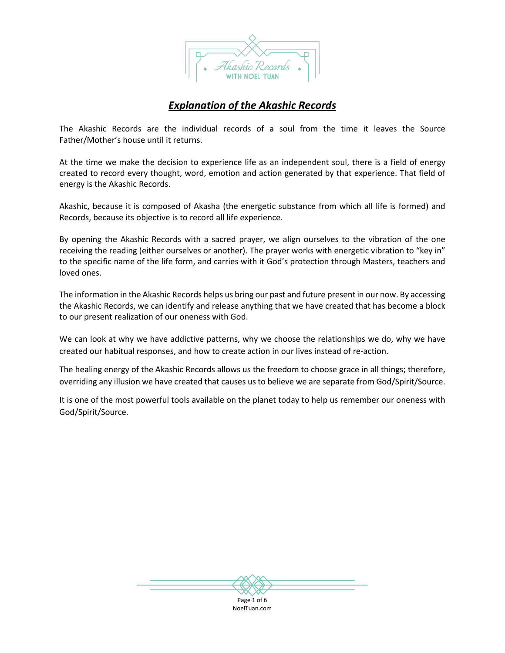

# *Explanation of the Akashic Records*

The Akashic Records are the individual records of a soul from the time it leaves the Source Father/Mother's house until it returns.

At the time we make the decision to experience life as an independent soul, there is a field of energy created to record every thought, word, emotion and action generated by that experience. That field of energy is the Akashic Records.

Akashic, because it is composed of Akasha (the energetic substance from which all life is formed) and Records, because its objective is to record all life experience.

By opening the Akashic Records with a sacred prayer, we align ourselves to the vibration of the one receiving the reading (either ourselves or another). The prayer works with energetic vibration to "key in" to the specific name of the life form, and carries with it God's protection through Masters, teachers and loved ones.

The information in the Akashic Records helps us bring our past and future present in our now. By accessing the Akashic Records, we can identify and release anything that we have created that has become a block to our present realization of our oneness with God.

We can look at why we have addictive patterns, why we choose the relationships we do, why we have created our habitual responses, and how to create action in our lives instead of re-action.

The healing energy of the Akashic Records allows us the freedom to choose grace in all things; therefore, overriding any illusion we have created that causes us to believe we are separate from God/Spirit/Source.

It is one of the most powerful tools available on the planet today to help us remember our oneness with God/Spirit/Source.

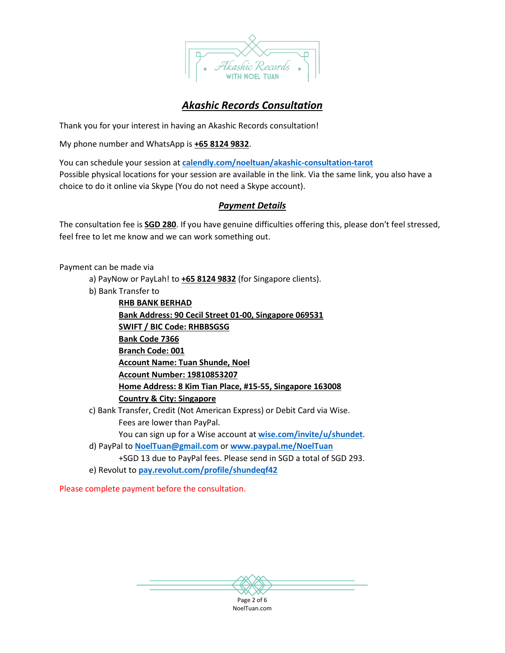

# *Akashic Records Consultation*

Thank you for your interest in having an Akashic Records consultation!

My phone number and WhatsApp is **+65 8124 9832**.

You can schedule your session at **[calendly.com/noeltuan/akashic-consultation-tarot](https://calendly.com/noeltuan/akashic-consultation-tarot)** Possible physical locations for your session are available in the link. Via the same link, you also have a choice to do it online via Skype (You do not need a Skype account).

## *Payment Details*

The consultation fee is **SGD 280**. If you have genuine difficulties offering this, please don't feel stressed, feel free to let me know and we can work something out.

Payment can be made via

- a) PayNow or PayLah! to **+65 8124 9832** (for Singapore clients).
- b) Bank Transfer to

**RHB BANK BERHAD Bank Address: 90 Cecil Street 01-00, Singapore 069531 SWIFT / BIC Code: RHBBSGSG Bank Code 7366 Branch Code: 001 Account Name: Tuan Shunde, Noel Account Number: 19810853207 Home Address: 8 Kim Tian Place, #15-55, Singapore 163008 Country & City: Singapore** c) Bank Transfer, Credit (Not American Express) or Debit Card via Wise. Fees are lower than PayPal. You can sign up for a Wise account at **[wise.com/invite/u/shundet](https://wise.com/invite/u/shundet)**. d) PayPal to **[NoelTuan@gmail.com](mailto:NoelTuan@gmail.com)** or **[www.paypal.me/NoelTuan](http://www.paypal.me/NoelTuan)** +SGD 13 due to PayPal fees. Please send in SGD a total of SGD 293. e) Revolut to **[pay.revolut.com/profile/shundeqf42](http://pay.revolut.com/profile/shundeqf42)**

Please complete payment before the consultation.

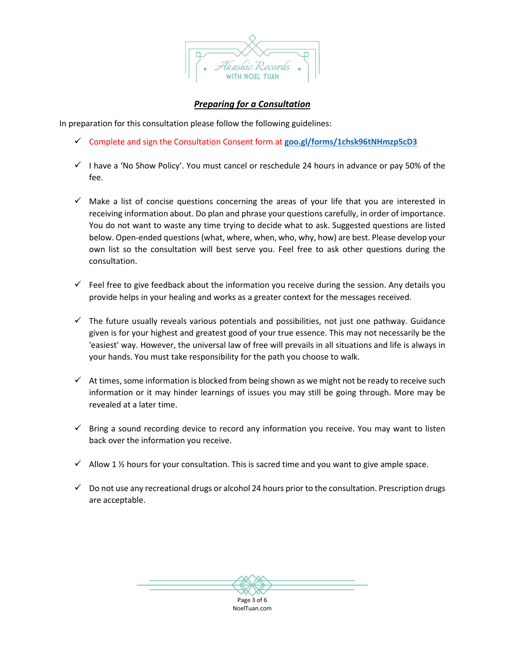

# *Preparing for a Consultation*

In preparation for this consultation please follow the following guidelines:

- Complete and sign the Consultation Consent form at **[goo.gl/forms/1chsk96tNHmzp5cD3](https://goo.gl/forms/1chsk96tNHmzp5cD3)**
- $\checkmark$  I have a 'No Show Policy'. You must cancel or reschedule 24 hours in advance or pay 50% of the fee.
- $\checkmark$  Make a list of concise questions concerning the areas of your life that you are interested in receiving information about. Do plan and phrase your questions carefully, in order of importance. You do not want to waste any time trying to decide what to ask. Suggested questions are listed below. Open-ended questions (what, where, when, who, why, how) are best. Please develop your own list so the consultation will best serve you. Feel free to ask other questions during the consultation.
- $\checkmark$  Feel free to give feedback about the information you receive during the session. Any details you provide helps in your healing and works as a greater context for the messages received.
- $\checkmark$  The future usually reveals various potentials and possibilities, not just one pathway. Guidance given is for your highest and greatest good of your true essence. This may not necessarily be the 'easiest' way. However, the universal law of free will prevails in all situations and life is always in your hands. You must take responsibility for the path you choose to walk.
- $\checkmark$  At times, some information is blocked from being shown as we might not be ready to receive such information or it may hinder learnings of issues you may still be going through. More may be revealed at a later time.
- $\checkmark$  Bring a sound recording device to record any information you receive. You may want to listen back over the information you receive.
- $\checkmark$  Allow 1 % hours for your consultation. This is sacred time and you want to give ample space.
- $\checkmark$  Do not use any recreational drugs or alcohol 24 hours prior to the consultation. Prescription drugs are acceptable.

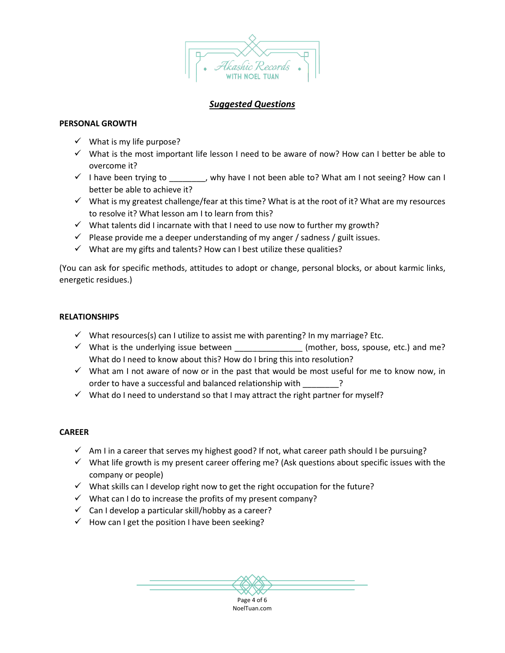

## *Suggested Questions*

### **PERSONAL GROWTH**

- $\checkmark$  What is my life purpose?
- $\checkmark$  What is the most important life lesson I need to be aware of now? How can I better be able to overcome it?
- $\checkmark$  I have been trying to equal point why have I not been able to? What am I not seeing? How can I better be able to achieve it?
- $\checkmark$  What is my greatest challenge/fear at this time? What is at the root of it? What are my resources to resolve it? What lesson am I to learn from this?
- $\checkmark$  What talents did I incarnate with that I need to use now to further my growth?
- $\checkmark$  Please provide me a deeper understanding of my anger / sadness / guilt issues.
- $\checkmark$  What are my gifts and talents? How can I best utilize these qualities?

(You can ask for specific methods, attitudes to adopt or change, personal blocks, or about karmic links, energetic residues.)

## **RELATIONSHIPS**

- $\checkmark$  What resources(s) can I utilize to assist me with parenting? In my marriage? Etc.
- $\checkmark$  What is the underlying issue between  $\checkmark$  (mother, boss, spouse, etc.) and me? What do I need to know about this? How do I bring this into resolution?
- $\checkmark$  What am I not aware of now or in the past that would be most useful for me to know now, in order to have a successful and balanced relationship with
- $\checkmark$  What do I need to understand so that I may attract the right partner for myself?

## **CAREER**

- $\checkmark$  Am I in a career that serves my highest good? If not, what career path should I be pursuing?
- $\checkmark$  What life growth is my present career offering me? (Ask questions about specific issues with the company or people)
- $\checkmark$  What skills can I develop right now to get the right occupation for the future?
- $\checkmark$  What can I do to increase the profits of my present company?
- $\checkmark$  Can I develop a particular skill/hobby as a career?
- $\checkmark$  How can I get the position I have been seeking?

Page 4 of 6 NoelTuan.com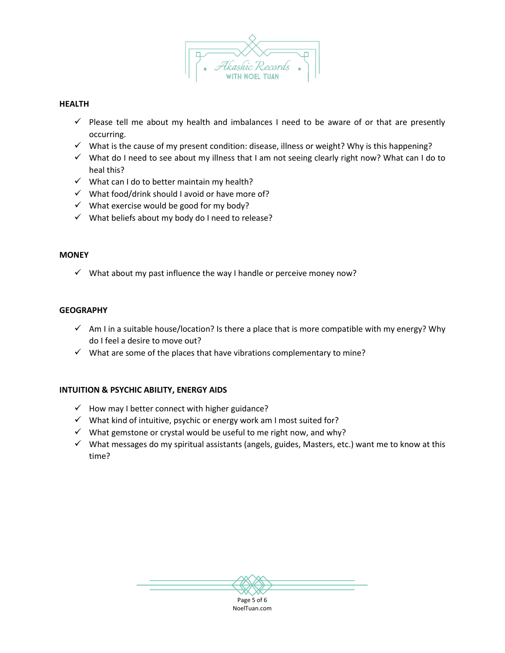

#### **HEALTH**

- $\checkmark$  Please tell me about my health and imbalances I need to be aware of or that are presently occurring.
- $\checkmark$  What is the cause of my present condition: disease, illness or weight? Why is this happening?
- $\checkmark$  What do I need to see about my illness that I am not seeing clearly right now? What can I do to heal this?
- $\checkmark$  What can I do to better maintain my health?
- $\checkmark$  What food/drink should I avoid or have more of?
- $\checkmark$  What exercise would be good for my body?
- $\checkmark$  What beliefs about my body do I need to release?

#### **MONEY**

 $\checkmark$  What about my past influence the way I handle or perceive money now?

#### **GEOGRAPHY**

- $\checkmark$  Am I in a suitable house/location? Is there a place that is more compatible with my energy? Why do I feel a desire to move out?
- $\checkmark$  What are some of the places that have vibrations complementary to mine?

### **INTUITION & PSYCHIC ABILITY, ENERGY AIDS**

- $\checkmark$  How may I better connect with higher guidance?
- $\checkmark$  What kind of intuitive, psychic or energy work am I most suited for?
- $\checkmark$  What gemstone or crystal would be useful to me right now, and why?
- $\checkmark$  What messages do my spiritual assistants (angels, guides, Masters, etc.) want me to know at this time?